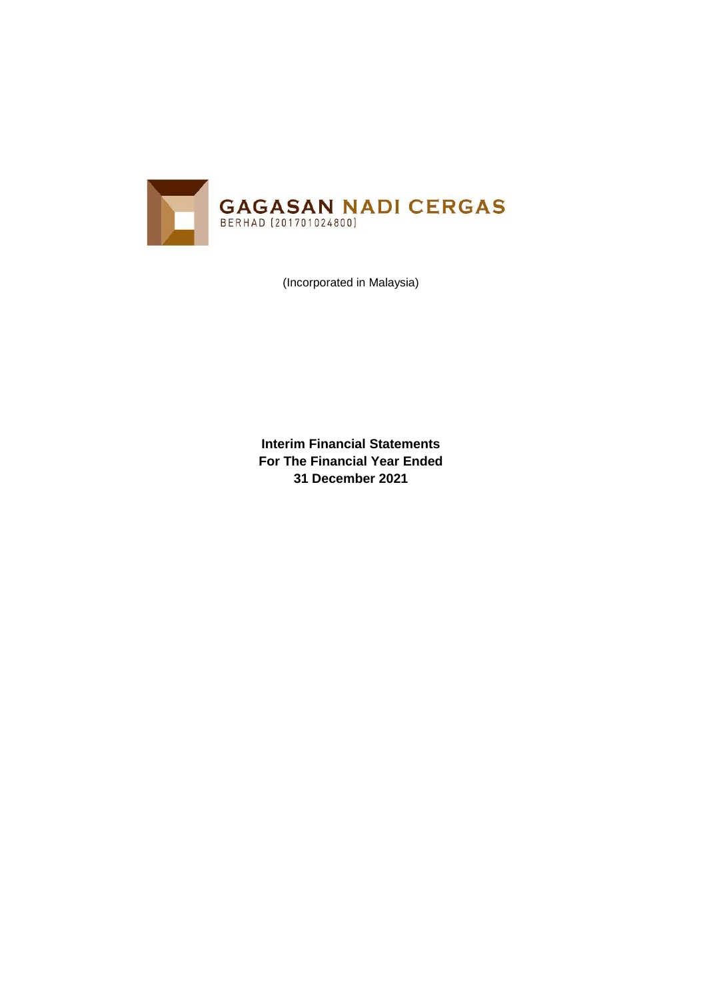

(Incorporated in Malaysia)

**Interim Financial Statements For The Financial Year Ended 31 December 2021**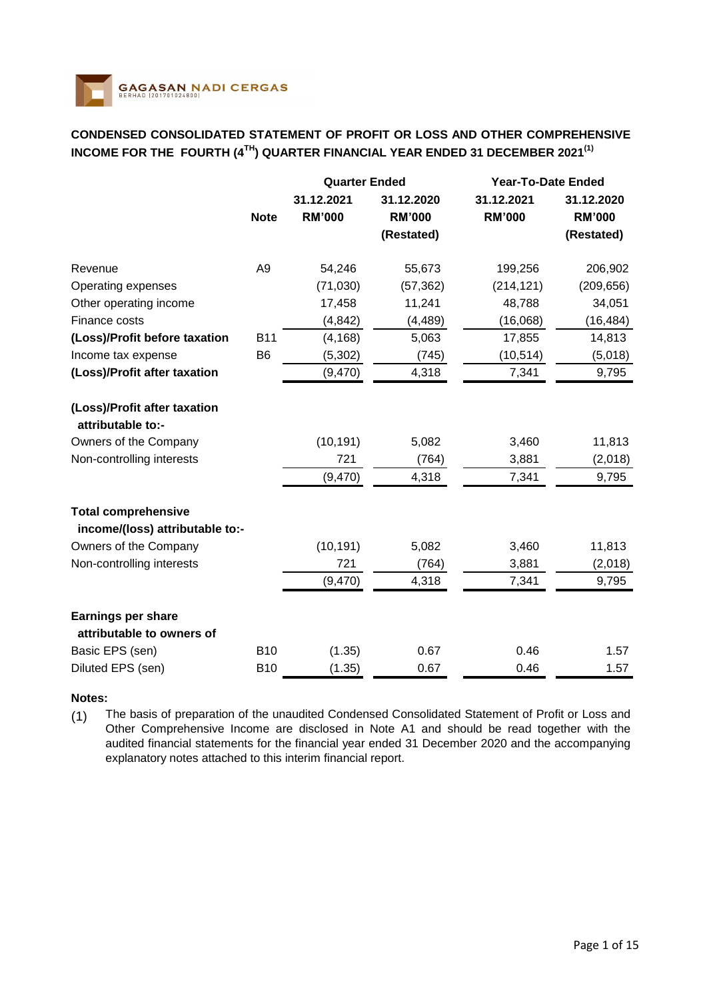

# **CONDENSED CONSOLIDATED STATEMENT OF PROFIT OR LOSS AND OTHER COMPREHENSIVE INCOME FOR THE FOURTH (4TH) QUARTER FINANCIAL YEAR ENDED 31 DECEMBER 2021(1)**

|                                                               |                | <b>Quarter Ended</b>        |                             | <b>Year-To-Date Ended</b>   |                             |
|---------------------------------------------------------------|----------------|-----------------------------|-----------------------------|-----------------------------|-----------------------------|
|                                                               | <b>Note</b>    | 31.12.2021<br><b>RM'000</b> | 31.12.2020<br><b>RM'000</b> | 31.12.2021<br><b>RM'000</b> | 31.12.2020<br><b>RM'000</b> |
|                                                               |                |                             | (Restated)                  |                             | (Restated)                  |
| Revenue                                                       | A <sub>9</sub> | 54,246                      | 55,673                      | 199,256                     | 206,902                     |
| Operating expenses                                            |                | (71,030)                    | (57, 362)                   | (214, 121)                  | (209, 656)                  |
| Other operating income                                        |                | 17,458                      | 11,241                      | 48,788                      | 34,051                      |
| Finance costs                                                 |                | (4, 842)                    | (4, 489)                    | (16,068)                    | (16, 484)                   |
| (Loss)/Profit before taxation                                 | <b>B11</b>     | (4, 168)                    | 5,063                       | 17,855                      | 14,813                      |
| Income tax expense                                            | B <sub>6</sub> | (5, 302)                    | (745)                       | (10, 514)                   | (5,018)                     |
| (Loss)/Profit after taxation                                  |                | (9,470)                     | 4,318                       | 7,341                       | 9,795                       |
| (Loss)/Profit after taxation<br>attributable to:-             |                |                             |                             |                             |                             |
| Owners of the Company                                         |                | (10, 191)                   | 5,082                       | 3,460                       | 11,813                      |
| Non-controlling interests                                     |                | 721                         | (764)                       | 3,881                       | (2,018)                     |
|                                                               |                | (9,470)                     | 4,318                       | 7,341                       | 9,795                       |
| <b>Total comprehensive</b><br>income/(loss) attributable to:- |                |                             |                             |                             |                             |
| Owners of the Company                                         |                | (10, 191)                   | 5,082                       | 3,460                       | 11,813                      |
| Non-controlling interests                                     |                | 721                         | (764)                       | 3,881                       | (2,018)                     |
|                                                               |                | (9, 470)                    | 4,318                       | 7,341                       | 9,795                       |
| Earnings per share<br>attributable to owners of               |                |                             |                             |                             |                             |
| Basic EPS (sen)                                               | <b>B10</b>     | (1.35)                      | 0.67                        | 0.46                        | 1.57                        |
| Diluted EPS (sen)                                             | <b>B10</b>     | (1.35)                      | 0.67                        | 0.46                        | 1.57                        |

## **Notes:**

(1) The basis of preparation of the unaudited Condensed Consolidated Statement of Profit or Loss and Other Comprehensive Income are disclosed in Note A1 and should be read together with the audited financial statements for the financial year ended 31 December 2020 and the accompanying explanatory notes attached to this interim financial report.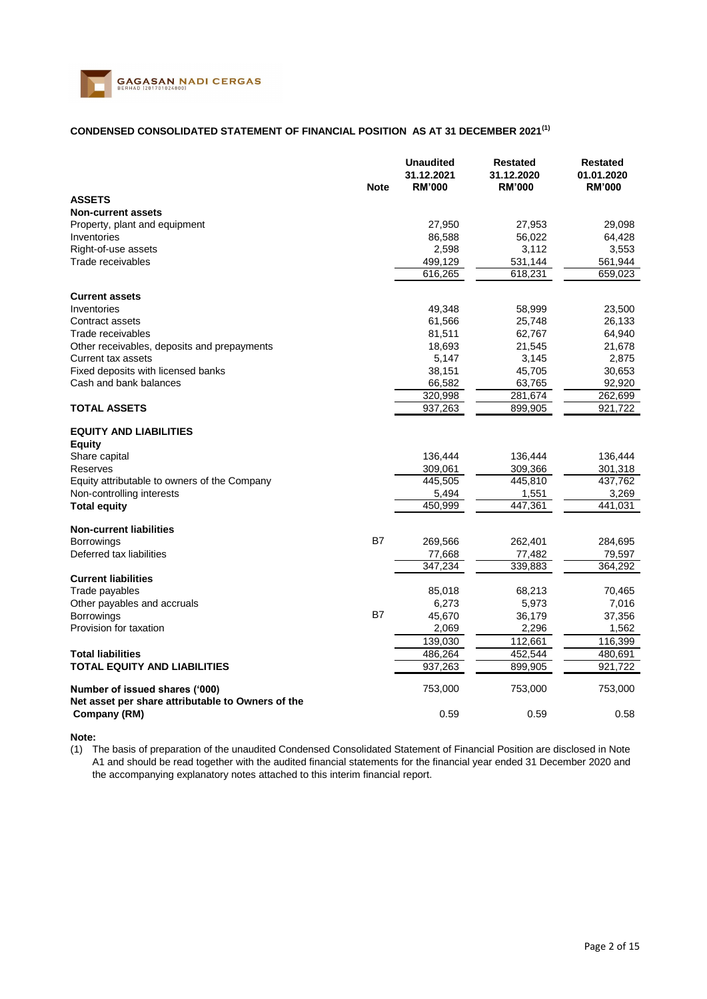

## **CONDENSED CONSOLIDATED STATEMENT OF FINANCIAL POSITION AS AT 31 DECEMBER 2021(1)**

|                                                                                                     | <b>Note</b> | <b>Unaudited</b><br>31.12.2021<br><b>RM'000</b> | <b>Restated</b><br>31.12.2020<br><b>RM'000</b> | <b>Restated</b><br>01.01.2020<br><b>RM'000</b> |
|-----------------------------------------------------------------------------------------------------|-------------|-------------------------------------------------|------------------------------------------------|------------------------------------------------|
| <b>ASSETS</b>                                                                                       |             |                                                 |                                                |                                                |
| <b>Non-current assets</b>                                                                           |             |                                                 |                                                |                                                |
| Property, plant and equipment                                                                       |             | 27,950                                          | 27,953                                         | 29,098                                         |
| Inventories                                                                                         |             | 86,588                                          | 56,022                                         | 64,428                                         |
| Right-of-use assets                                                                                 |             | 2,598                                           | 3,112                                          | 3,553                                          |
| Trade receivables                                                                                   |             | 499,129                                         | 531,144                                        | 561,944                                        |
|                                                                                                     |             | 616,265                                         | 618,231                                        | 659,023                                        |
|                                                                                                     |             |                                                 |                                                |                                                |
| <b>Current assets</b>                                                                               |             |                                                 |                                                |                                                |
| Inventories                                                                                         |             | 49,348                                          | 58,999                                         | 23,500                                         |
| Contract assets                                                                                     |             | 61,566                                          | 25,748                                         | 26,133                                         |
| Trade receivables                                                                                   |             | 81,511                                          | 62,767                                         | 64,940                                         |
| Other receivables, deposits and prepayments<br><b>Current tax assets</b>                            |             | 18,693<br>5,147                                 | 21,545<br>3,145                                | 21,678<br>2,875                                |
| Fixed deposits with licensed banks                                                                  |             | 38,151                                          | 45,705                                         | 30,653                                         |
| Cash and bank balances                                                                              |             | 66,582                                          | 63,765                                         | 92,920                                         |
|                                                                                                     |             | 320,998                                         | 281,674                                        | 262,699                                        |
| <b>TOTAL ASSETS</b>                                                                                 |             | 937,263                                         | 899,905                                        | 921,722                                        |
| <b>EQUITY AND LIABILITIES</b><br><b>Equity</b>                                                      |             |                                                 |                                                |                                                |
| Share capital                                                                                       |             | 136,444                                         | 136,444                                        | 136,444                                        |
| Reserves                                                                                            |             | 309,061                                         | 309,366                                        | 301,318                                        |
| Equity attributable to owners of the Company                                                        |             | 445,505                                         | 445,810                                        | 437,762                                        |
| Non-controlling interests                                                                           |             | 5,494                                           | 1,551                                          | 3,269                                          |
| <b>Total equity</b>                                                                                 |             | 450,999                                         | 447,361                                        | 441,031                                        |
| <b>Non-current liabilities</b>                                                                      |             |                                                 |                                                |                                                |
| <b>Borrowings</b>                                                                                   | B7          | 269,566                                         | 262,401                                        | 284,695                                        |
| Deferred tax liabilities                                                                            |             | 77,668                                          | 77,482                                         | 79,597                                         |
|                                                                                                     |             | 347,234                                         | 339,883                                        | 364,292                                        |
| <b>Current liabilities</b>                                                                          |             |                                                 |                                                |                                                |
| Trade payables<br>Other payables and accruals                                                       |             | 85,018<br>6,273                                 | 68,213<br>5,973                                | 70,465<br>7,016                                |
| Borrowings                                                                                          | <b>B7</b>   | 45,670                                          | 36,179                                         | 37,356                                         |
| Provision for taxation                                                                              |             | 2,069                                           | 2,296                                          | 1,562                                          |
|                                                                                                     |             | 139,030                                         | 112,661                                        | 116,399                                        |
| <b>Total liabilities</b>                                                                            |             | 486,264                                         | 452,544                                        | 480,691                                        |
| <b>TOTAL EQUITY AND LIABILITIES</b>                                                                 |             | 937,263                                         | 899,905                                        | 921,722                                        |
|                                                                                                     |             |                                                 |                                                |                                                |
| Number of issued shares ('000)<br>Net asset per share attributable to Owners of the<br>Company (RM) |             | 753,000<br>0.59                                 | 753,000<br>0.59                                | 753,000<br>0.58                                |

#### **Note:**

(1) The basis of preparation of the unaudited Condensed Consolidated Statement of Financial Position are disclosed in Note A1 and should be read together with the audited financial statements for the financial year ended 31 December 2020 and the accompanying explanatory notes attached to this interim financial report.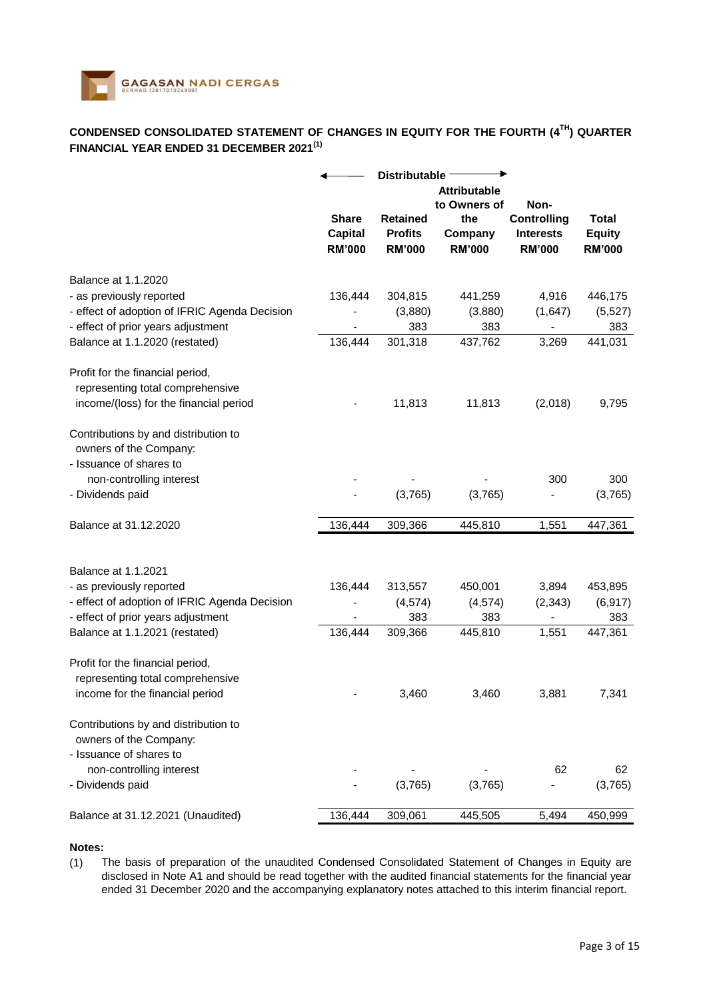

# **CONDENSED CONSOLIDATED STATEMENT OF CHANGES IN EQUITY FOR THE FOURTH (4TH) QUARTER FINANCIAL YEAR ENDED 31 DECEMBER 2021(1)**

|                                               | <b>Distributable</b> |                 |                     |                              |               |  |
|-----------------------------------------------|----------------------|-----------------|---------------------|------------------------------|---------------|--|
|                                               |                      |                 | <b>Attributable</b> |                              |               |  |
|                                               |                      |                 | to Owners of        | Non-                         |               |  |
|                                               | <b>Share</b>         | <b>Retained</b> | the                 | <b>Controlling</b>           | <b>Total</b>  |  |
|                                               | <b>Capital</b>       | <b>Profits</b>  | Company             | <b>Interests</b>             | <b>Equity</b> |  |
|                                               | <b>RM'000</b>        | <b>RM'000</b>   | <b>RM'000</b>       | <b>RM'000</b>                | <b>RM'000</b> |  |
| Balance at 1.1.2020                           |                      |                 |                     |                              |               |  |
| - as previously reported                      | 136,444              | 304,815         | 441,259             | 4,916                        | 446,175       |  |
| - effect of adoption of IFRIC Agenda Decision |                      | (3,880)         | (3,880)             | (1,647)                      | (5, 527)      |  |
| - effect of prior years adjustment            |                      | 383             | 383                 | $\qquad \qquad \blacksquare$ | 383           |  |
| Balance at 1.1.2020 (restated)                | 136,444              | 301,318         | 437,762             | 3,269                        | 441,031       |  |
| Profit for the financial period,              |                      |                 |                     |                              |               |  |
| representing total comprehensive              |                      |                 |                     |                              |               |  |
| income/(loss) for the financial period        |                      | 11,813          | 11,813              | (2,018)                      | 9,795         |  |
|                                               |                      |                 |                     |                              |               |  |
| Contributions by and distribution to          |                      |                 |                     |                              |               |  |
| owners of the Company:                        |                      |                 |                     |                              |               |  |
| - Issuance of shares to                       |                      |                 |                     |                              |               |  |
| non-controlling interest                      |                      |                 |                     | 300                          | 300           |  |
| - Dividends paid                              |                      | (3,765)         | (3,765)             |                              | (3,765)       |  |
| Balance at 31.12.2020                         | 136,444              | 309,366         | 445,810             | 1,551                        | 447,361       |  |
|                                               |                      |                 |                     |                              |               |  |
| Balance at 1.1.2021                           |                      |                 |                     |                              |               |  |
| - as previously reported                      | 136,444              | 313,557         | 450,001             | 3,894                        | 453,895       |  |
| - effect of adoption of IFRIC Agenda Decision |                      | (4, 574)        | (4, 574)            | (2, 343)                     | (6, 917)      |  |
| - effect of prior years adjustment            |                      | 383             | 383                 |                              | 383           |  |
| Balance at 1.1.2021 (restated)                | 136,444              | 309,366         | 445,810             | 1,551                        | 447,361       |  |
| Profit for the financial period,              |                      |                 |                     |                              |               |  |
| representing total comprehensive              |                      |                 |                     |                              |               |  |
| income for the financial period               |                      | 3,460           | 3,460               | 3,881                        | 7,341         |  |
| Contributions by and distribution to          |                      |                 |                     |                              |               |  |
| owners of the Company:                        |                      |                 |                     |                              |               |  |
| - Issuance of shares to                       |                      |                 |                     |                              |               |  |
| non-controlling interest                      |                      |                 |                     | 62                           | 62            |  |
| - Dividends paid                              |                      | (3,765)         | (3,765)             |                              | (3,765)       |  |
| Balance at 31.12.2021 (Unaudited)             | 136,444              | 309,061         | 445,505             | 5,494                        | 450,999       |  |
|                                               |                      |                 |                     |                              |               |  |

#### **Notes:**

(1) The basis of preparation of the unaudited Condensed Consolidated Statement of Changes in Equity are disclosed in Note A1 and should be read together with the audited financial statements for the financial year ended 31 December 2020 and the accompanying explanatory notes attached to this interim financial report.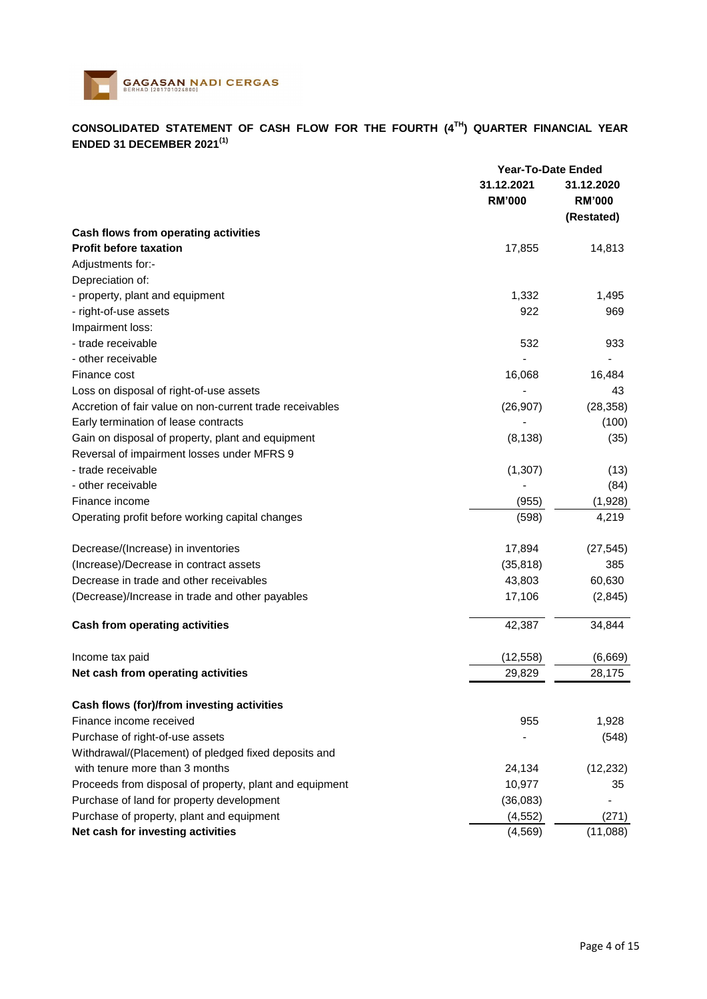

# **CONSOLIDATED STATEMENT OF CASH FLOW FOR THE FOURTH (4TH) QUARTER FINANCIAL YEAR ENDED 31 DECEMBER 2021(1)**

|                                                          | <b>Year-To-Date Ended</b>   |                                           |
|----------------------------------------------------------|-----------------------------|-------------------------------------------|
|                                                          | 31.12.2021<br><b>RM'000</b> | 31.12.2020<br><b>RM'000</b><br>(Restated) |
| Cash flows from operating activities                     |                             |                                           |
| <b>Profit before taxation</b>                            | 17,855                      | 14,813                                    |
| Adjustments for:-                                        |                             |                                           |
| Depreciation of:                                         |                             |                                           |
| - property, plant and equipment                          | 1,332                       | 1,495                                     |
| - right-of-use assets                                    | 922                         | 969                                       |
| Impairment loss:                                         |                             |                                           |
| - trade receivable                                       | 532                         | 933                                       |
| - other receivable                                       |                             |                                           |
| Finance cost                                             | 16,068                      | 16,484                                    |
| Loss on disposal of right-of-use assets                  |                             | 43                                        |
| Accretion of fair value on non-current trade receivables | (26, 907)                   | (28, 358)                                 |
| Early termination of lease contracts                     |                             | (100)                                     |
| Gain on disposal of property, plant and equipment        | (8, 138)                    | (35)                                      |
| Reversal of impairment losses under MFRS 9               |                             |                                           |
| - trade receivable                                       | (1, 307)                    | (13)                                      |
| - other receivable                                       |                             | (84)                                      |
| Finance income                                           | (955)                       | (1,928)                                   |
| Operating profit before working capital changes          | (598)                       | 4,219                                     |
| Decrease/(Increase) in inventories                       | 17,894                      | (27, 545)                                 |
| (Increase)/Decrease in contract assets                   | (35, 818)                   | 385                                       |
| Decrease in trade and other receivables                  | 43,803                      | 60,630                                    |
| (Decrease)/Increase in trade and other payables          | 17,106                      | (2,845)                                   |
| <b>Cash from operating activities</b>                    | 42,387                      | 34,844                                    |
| Income tax paid                                          | (12, 558)                   | (6,669)                                   |
| Net cash from operating activities                       | 29,829                      | 28,175                                    |
| Cash flows (for)/from investing activities               |                             |                                           |
| Finance income received                                  | 955                         | 1,928                                     |
| Purchase of right-of-use assets                          |                             | (548)                                     |
| Withdrawal/(Placement) of pledged fixed deposits and     |                             |                                           |
| with tenure more than 3 months                           | 24,134                      | (12, 232)                                 |
| Proceeds from disposal of property, plant and equipment  | 10,977                      | 35                                        |
| Purchase of land for property development                | (36,083)                    |                                           |
| Purchase of property, plant and equipment                | (4, 552)                    | (271)                                     |
| Net cash for investing activities                        | (4, 569)                    | (11,088)                                  |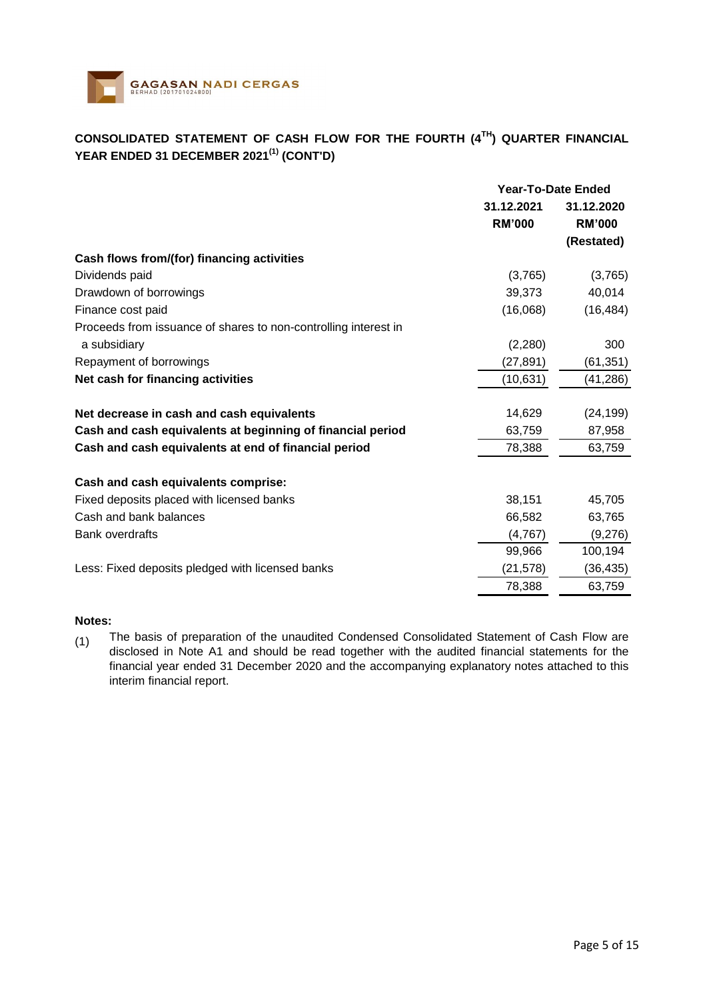

# **CONSOLIDATED STATEMENT OF CASH FLOW FOR THE FOURTH (4TH) QUARTER FINANCIAL YEAR ENDED 31 DECEMBER 2021(1) (CONT'D)**

|                                                                 | <b>Year-To-Date Ended</b>   |                             |  |
|-----------------------------------------------------------------|-----------------------------|-----------------------------|--|
|                                                                 | 31.12.2021<br><b>RM'000</b> | 31.12.2020<br><b>RM'000</b> |  |
|                                                                 |                             | (Restated)                  |  |
| Cash flows from/(for) financing activities                      |                             |                             |  |
| Dividends paid                                                  | (3,765)                     | (3,765)                     |  |
| Drawdown of borrowings                                          | 39,373                      | 40,014                      |  |
| Finance cost paid                                               | (16,068)                    | (16, 484)                   |  |
| Proceeds from issuance of shares to non-controlling interest in |                             |                             |  |
| a subsidiary                                                    | (2,280)                     | 300                         |  |
| Repayment of borrowings                                         | (27, 891)                   | (61, 351)                   |  |
| Net cash for financing activities                               | (10, 631)                   | (41, 286)                   |  |
| Net decrease in cash and cash equivalents                       | 14,629                      | (24, 199)                   |  |
| Cash and cash equivalents at beginning of financial period      | 63,759                      | 87,958                      |  |
| Cash and cash equivalents at end of financial period            | 78,388                      | 63,759                      |  |
| Cash and cash equivalents comprise:                             |                             |                             |  |
| Fixed deposits placed with licensed banks                       | 38,151                      | 45,705                      |  |
| Cash and bank balances                                          | 66,582                      | 63,765                      |  |
| <b>Bank overdrafts</b>                                          | (4, 767)                    | (9,276)                     |  |
|                                                                 | 99,966                      | 100,194                     |  |
| Less: Fixed deposits pledged with licensed banks                | (21, 578)                   | (36, 435)                   |  |
|                                                                 | 78,388                      | 63,759                      |  |

## **Notes:**

(1) The basis of preparation of the unaudited Condensed Consolidated Statement of Cash Flow are disclosed in Note A1 and should be read together with the audited financial statements for the financial year ended 31 December 2020 and the accompanying explanatory notes attached to this interim financial report.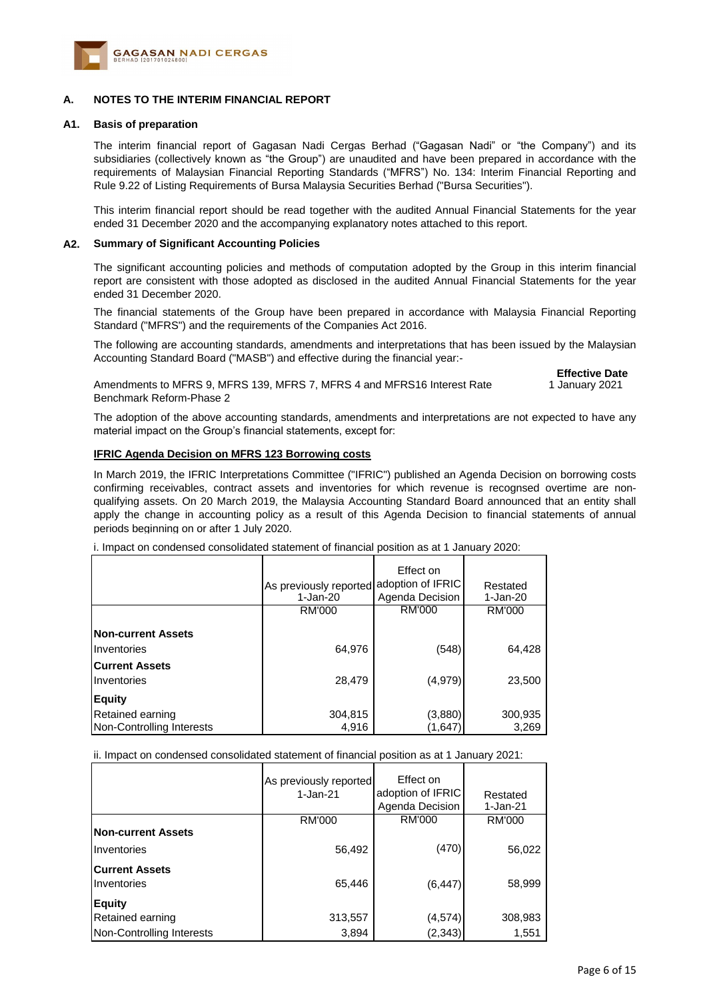

#### **A. NOTES TO THE INTERIM FINANCIAL REPORT**

#### **A1. Basis of preparation**

The interim financial report of Gagasan Nadi Cergas Berhad ("Gagasan Nadi" or "the Company") and its subsidiaries (collectively known as "the Group") are unaudited and have been prepared in accordance with the requirements of Malaysian Financial Reporting Standards ("MFRS") No. 134: Interim Financial Reporting and Rule 9.22 of Listing Requirements of Bursa Malaysia Securities Berhad ("Bursa Securities").

This interim financial report should be read together with the audited Annual Financial Statements for the year ended 31 December 2020 and the accompanying explanatory notes attached to this report.

#### **A2. Summary of Significant Accounting Policies**

The significant accounting policies and methods of computation adopted by the Group in this interim financial report are consistent with those adopted as disclosed in the audited Annual Financial Statements for the year ended 31 December 2020.

The financial statements of the Group have been prepared in accordance with Malaysia Financial Reporting Standard ("MFRS") and the requirements of the Companies Act 2016.

The following are accounting standards, amendments and interpretations that has been issued by the Malaysian Accounting Standard Board ("MASB") and effective during the financial year:-

> **Effective Date** 1 January 2021

Amendments to MFRS 9, MFRS 139, MFRS 7, MFRS 4 and MFRS16 Interest Rate Benchmark Reform-Phase 2

The adoption of the above accounting standards, amendments and interpretations are not expected to have any material impact on the Group's financial statements, except for:

#### **IFRIC Agenda Decision on MFRS 123 Borrowing costs**

In March 2019, the IFRIC Interpretations Committee ("IFRIC") published an Agenda Decision on borrowing costs confirming receivables, contract assets and inventories for which revenue is recognsed overtime are nonqualifying assets. On 20 March 2019, the Malaysia Accounting Standard Board announced that an entity shall apply the change in accounting policy as a result of this Agenda Decision to financial statements of annual periods beginning on or after 1 July 2020.

i. Impact on condensed consolidated statement of financial position as at 1 January 2020:

|                           | As previously reported<br>1-Jan-20 | Effect on<br>adoption of IFRIC<br>Agenda Decision | Restated<br>1-Jan-20 |
|---------------------------|------------------------------------|---------------------------------------------------|----------------------|
|                           | <b>RM'000</b>                      | RM'000                                            | RM'000               |
| <b>Non-current Assets</b> |                                    |                                                   |                      |
| <b>Inventories</b>        | 64,976                             | (548)                                             | 64,428               |
| <b>Current Assets</b>     |                                    |                                                   |                      |
| <b>Inventories</b>        | 28,479                             | (4,979)                                           | 23,500               |
| <b>Equity</b>             |                                    |                                                   |                      |
| Retained earning          | 304,815                            | (3,880)                                           | 300,935              |
| Non-Controlling Interests | 4.916                              | (1,647                                            | 3,269                |

ii. Impact on condensed consolidated statement of financial position as at 1 January 2021:

|                                      | As previously reported<br>$1-Jan-21$ | Effect on<br>adoption of IFRIC<br>Agenda Decision | Restated<br>1-Jan-21 |
|--------------------------------------|--------------------------------------|---------------------------------------------------|----------------------|
|                                      | <b>RM'000</b>                        | <b>RM'000</b>                                     | RM'000               |
| <b>Non-current Assets</b>            |                                      |                                                   |                      |
| Inventories                          | 56,492                               | (470)                                             | 56,022               |
| <b>Current Assets</b><br>Inventories | 65,446                               | (6, 447)                                          | 58,999               |
| <b>Equity</b>                        |                                      |                                                   |                      |
| Retained earning                     | 313,557                              | (4, 574)                                          | 308,983              |
| Non-Controlling Interests            | 3,894                                | (2, 343)                                          | 1,551                |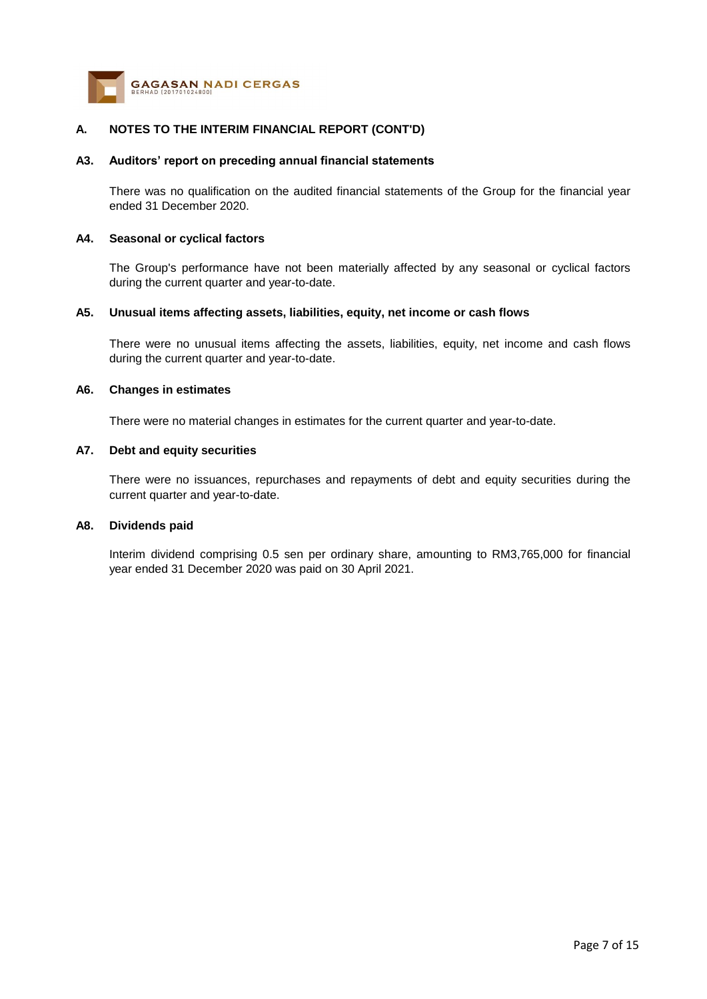

#### **A3. Auditors' report on preceding annual financial statements**

There was no qualification on the audited financial statements of the Group for the financial year ended 31 December 2020.

#### **A4. Seasonal or cyclical factors**

The Group's performance have not been materially affected by any seasonal or cyclical factors during the current quarter and year-to-date.

#### **A5. Unusual items affecting assets, liabilities, equity, net income or cash flows**

There were no unusual items affecting the assets, liabilities, equity, net income and cash flows during the current quarter and year-to-date.

#### **A6. Changes in estimates**

There were no material changes in estimates for the current quarter and year-to-date.

#### **A7. Debt and equity securities**

There were no issuances, repurchases and repayments of debt and equity securities during the current quarter and year-to-date.

#### **A8. Dividends paid**

Interim dividend comprising 0.5 sen per ordinary share, amounting to RM3,765,000 for financial year ended 31 December 2020 was paid on 30 April 2021.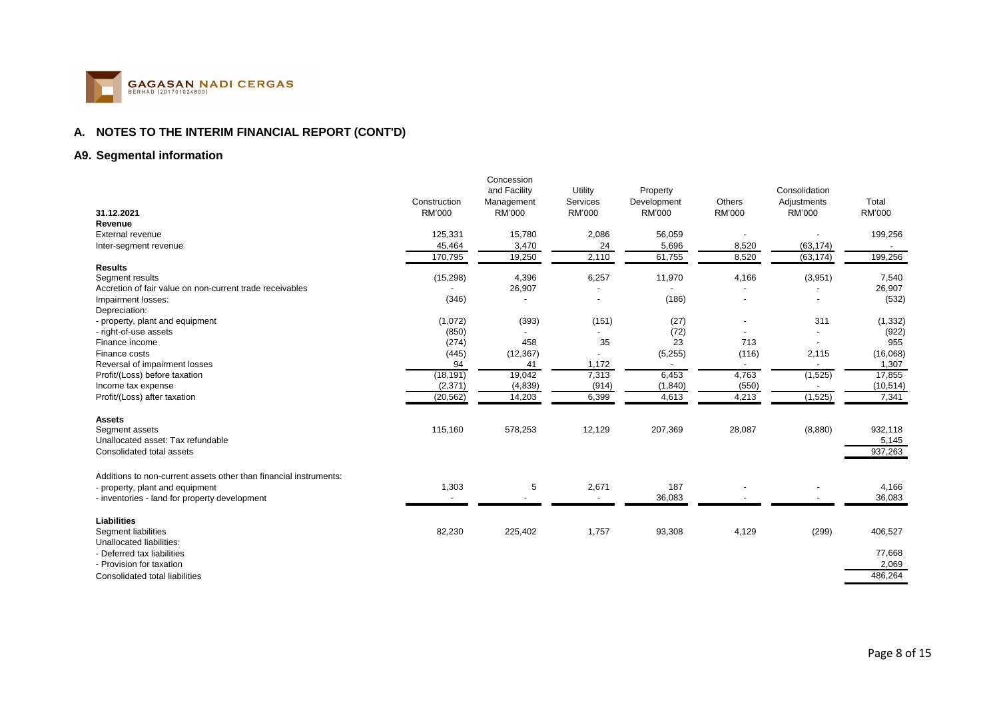

## **A9. Segmental information**

| and Facility<br>Consolidation<br>Utility<br>Property<br>Others<br>Total<br>Construction<br>Services<br>Development<br>Management<br>Adjustments<br>RM'000<br>RM'000<br>RM'000<br>31.12.2021<br><b>RM'000</b><br><b>RM'000</b><br><b>RM'000</b><br><b>RM'000</b><br>Revenue<br>125,331<br>15,780<br>2,086<br>56,059<br>199,256<br><b>External revenue</b><br>3,470<br>24<br>5,696<br>8,520<br>(63, 174)<br>45,464<br>Inter-segment revenue<br>$\overline{\phantom{a}}$<br>19,250<br>199,256<br>2,110<br>61,755<br>8,520<br>(63, 174)<br>170,795<br><b>Results</b><br>(15, 298)<br>4,396<br>6,257<br>11,970<br>4,166<br>(3,951)<br>7,540<br>Segment results<br>26,907<br>26,907<br>Accretion of fair value on non-current trade receivables<br>(186)<br>(346)<br>(532)<br>Impairment losses:<br>Depreciation:<br>(1,072)<br>(393)<br>(151)<br>(27)<br>311<br>(1, 332)<br>- property, plant and equipment<br>(850)<br>(72)<br>(922)<br>- right-of-use assets<br>(274)<br>458<br>35<br>23<br>713<br>955<br>Finance income<br>(445)<br>(12, 367)<br>(5,255)<br>(116)<br>2,115<br>(16,068)<br>Finance costs<br>Reversal of impairment losses<br>94<br>1,172<br>1,307<br>41<br>$\overline{\phantom{a}}$<br>$\overline{\phantom{a}}$<br>$\overline{a}$<br>(18, 191)<br>19,042<br>6,453<br>4,763<br>7,313<br>(1,525)<br>17,855<br>Profit/(Loss) before taxation<br>(2,371)<br>(4,839)<br>(914)<br>(1, 840)<br>(550)<br>(10, 514)<br>Income tax expense<br>4,613<br>4,213<br>(1,525)<br>(20, 562)<br>14,203<br>6,399<br>7,341<br>Profit/(Loss) after taxation<br><b>Assets</b><br>115,160<br>578,253<br>12,129<br>207,369<br>28,087<br>932,118<br>(8,880)<br>Segment assets<br>Unallocated asset: Tax refundable<br>5,145<br>937,263<br>Consolidated total assets<br>Additions to non-current assets other than financial instruments:<br>1,303<br>5<br>2,671<br>187<br>4,166<br>- property, plant and equipment<br>36,083<br>36,083<br>- inventories - land for property development<br>Liabilities<br>1,757<br>(299)<br>82,230<br>225,402<br>93,308<br>4,129<br>406,527<br>Segment liabilities<br>Unallocated liabilities:<br>77,668<br>- Deferred tax liabilities<br>2,069<br>- Provision for taxation<br>486,264<br>Consolidated total liabilities |  | Concession |  |  |  |
|----------------------------------------------------------------------------------------------------------------------------------------------------------------------------------------------------------------------------------------------------------------------------------------------------------------------------------------------------------------------------------------------------------------------------------------------------------------------------------------------------------------------------------------------------------------------------------------------------------------------------------------------------------------------------------------------------------------------------------------------------------------------------------------------------------------------------------------------------------------------------------------------------------------------------------------------------------------------------------------------------------------------------------------------------------------------------------------------------------------------------------------------------------------------------------------------------------------------------------------------------------------------------------------------------------------------------------------------------------------------------------------------------------------------------------------------------------------------------------------------------------------------------------------------------------------------------------------------------------------------------------------------------------------------------------------------------------------------------------------------------------------------------------------------------------------------------------------------------------------------------------------------------------------------------------------------------------------------------------------------------------------------------------------------------------------------------------------------------------------------------------------------------------------------------------------------------------------------------------------------|--|------------|--|--|--|
|                                                                                                                                                                                                                                                                                                                                                                                                                                                                                                                                                                                                                                                                                                                                                                                                                                                                                                                                                                                                                                                                                                                                                                                                                                                                                                                                                                                                                                                                                                                                                                                                                                                                                                                                                                                                                                                                                                                                                                                                                                                                                                                                                                                                                                              |  |            |  |  |  |
|                                                                                                                                                                                                                                                                                                                                                                                                                                                                                                                                                                                                                                                                                                                                                                                                                                                                                                                                                                                                                                                                                                                                                                                                                                                                                                                                                                                                                                                                                                                                                                                                                                                                                                                                                                                                                                                                                                                                                                                                                                                                                                                                                                                                                                              |  |            |  |  |  |
|                                                                                                                                                                                                                                                                                                                                                                                                                                                                                                                                                                                                                                                                                                                                                                                                                                                                                                                                                                                                                                                                                                                                                                                                                                                                                                                                                                                                                                                                                                                                                                                                                                                                                                                                                                                                                                                                                                                                                                                                                                                                                                                                                                                                                                              |  |            |  |  |  |
|                                                                                                                                                                                                                                                                                                                                                                                                                                                                                                                                                                                                                                                                                                                                                                                                                                                                                                                                                                                                                                                                                                                                                                                                                                                                                                                                                                                                                                                                                                                                                                                                                                                                                                                                                                                                                                                                                                                                                                                                                                                                                                                                                                                                                                              |  |            |  |  |  |
|                                                                                                                                                                                                                                                                                                                                                                                                                                                                                                                                                                                                                                                                                                                                                                                                                                                                                                                                                                                                                                                                                                                                                                                                                                                                                                                                                                                                                                                                                                                                                                                                                                                                                                                                                                                                                                                                                                                                                                                                                                                                                                                                                                                                                                              |  |            |  |  |  |
|                                                                                                                                                                                                                                                                                                                                                                                                                                                                                                                                                                                                                                                                                                                                                                                                                                                                                                                                                                                                                                                                                                                                                                                                                                                                                                                                                                                                                                                                                                                                                                                                                                                                                                                                                                                                                                                                                                                                                                                                                                                                                                                                                                                                                                              |  |            |  |  |  |
|                                                                                                                                                                                                                                                                                                                                                                                                                                                                                                                                                                                                                                                                                                                                                                                                                                                                                                                                                                                                                                                                                                                                                                                                                                                                                                                                                                                                                                                                                                                                                                                                                                                                                                                                                                                                                                                                                                                                                                                                                                                                                                                                                                                                                                              |  |            |  |  |  |
|                                                                                                                                                                                                                                                                                                                                                                                                                                                                                                                                                                                                                                                                                                                                                                                                                                                                                                                                                                                                                                                                                                                                                                                                                                                                                                                                                                                                                                                                                                                                                                                                                                                                                                                                                                                                                                                                                                                                                                                                                                                                                                                                                                                                                                              |  |            |  |  |  |
|                                                                                                                                                                                                                                                                                                                                                                                                                                                                                                                                                                                                                                                                                                                                                                                                                                                                                                                                                                                                                                                                                                                                                                                                                                                                                                                                                                                                                                                                                                                                                                                                                                                                                                                                                                                                                                                                                                                                                                                                                                                                                                                                                                                                                                              |  |            |  |  |  |
|                                                                                                                                                                                                                                                                                                                                                                                                                                                                                                                                                                                                                                                                                                                                                                                                                                                                                                                                                                                                                                                                                                                                                                                                                                                                                                                                                                                                                                                                                                                                                                                                                                                                                                                                                                                                                                                                                                                                                                                                                                                                                                                                                                                                                                              |  |            |  |  |  |
|                                                                                                                                                                                                                                                                                                                                                                                                                                                                                                                                                                                                                                                                                                                                                                                                                                                                                                                                                                                                                                                                                                                                                                                                                                                                                                                                                                                                                                                                                                                                                                                                                                                                                                                                                                                                                                                                                                                                                                                                                                                                                                                                                                                                                                              |  |            |  |  |  |
|                                                                                                                                                                                                                                                                                                                                                                                                                                                                                                                                                                                                                                                                                                                                                                                                                                                                                                                                                                                                                                                                                                                                                                                                                                                                                                                                                                                                                                                                                                                                                                                                                                                                                                                                                                                                                                                                                                                                                                                                                                                                                                                                                                                                                                              |  |            |  |  |  |
|                                                                                                                                                                                                                                                                                                                                                                                                                                                                                                                                                                                                                                                                                                                                                                                                                                                                                                                                                                                                                                                                                                                                                                                                                                                                                                                                                                                                                                                                                                                                                                                                                                                                                                                                                                                                                                                                                                                                                                                                                                                                                                                                                                                                                                              |  |            |  |  |  |
|                                                                                                                                                                                                                                                                                                                                                                                                                                                                                                                                                                                                                                                                                                                                                                                                                                                                                                                                                                                                                                                                                                                                                                                                                                                                                                                                                                                                                                                                                                                                                                                                                                                                                                                                                                                                                                                                                                                                                                                                                                                                                                                                                                                                                                              |  |            |  |  |  |
|                                                                                                                                                                                                                                                                                                                                                                                                                                                                                                                                                                                                                                                                                                                                                                                                                                                                                                                                                                                                                                                                                                                                                                                                                                                                                                                                                                                                                                                                                                                                                                                                                                                                                                                                                                                                                                                                                                                                                                                                                                                                                                                                                                                                                                              |  |            |  |  |  |
|                                                                                                                                                                                                                                                                                                                                                                                                                                                                                                                                                                                                                                                                                                                                                                                                                                                                                                                                                                                                                                                                                                                                                                                                                                                                                                                                                                                                                                                                                                                                                                                                                                                                                                                                                                                                                                                                                                                                                                                                                                                                                                                                                                                                                                              |  |            |  |  |  |
|                                                                                                                                                                                                                                                                                                                                                                                                                                                                                                                                                                                                                                                                                                                                                                                                                                                                                                                                                                                                                                                                                                                                                                                                                                                                                                                                                                                                                                                                                                                                                                                                                                                                                                                                                                                                                                                                                                                                                                                                                                                                                                                                                                                                                                              |  |            |  |  |  |
|                                                                                                                                                                                                                                                                                                                                                                                                                                                                                                                                                                                                                                                                                                                                                                                                                                                                                                                                                                                                                                                                                                                                                                                                                                                                                                                                                                                                                                                                                                                                                                                                                                                                                                                                                                                                                                                                                                                                                                                                                                                                                                                                                                                                                                              |  |            |  |  |  |
|                                                                                                                                                                                                                                                                                                                                                                                                                                                                                                                                                                                                                                                                                                                                                                                                                                                                                                                                                                                                                                                                                                                                                                                                                                                                                                                                                                                                                                                                                                                                                                                                                                                                                                                                                                                                                                                                                                                                                                                                                                                                                                                                                                                                                                              |  |            |  |  |  |
|                                                                                                                                                                                                                                                                                                                                                                                                                                                                                                                                                                                                                                                                                                                                                                                                                                                                                                                                                                                                                                                                                                                                                                                                                                                                                                                                                                                                                                                                                                                                                                                                                                                                                                                                                                                                                                                                                                                                                                                                                                                                                                                                                                                                                                              |  |            |  |  |  |
|                                                                                                                                                                                                                                                                                                                                                                                                                                                                                                                                                                                                                                                                                                                                                                                                                                                                                                                                                                                                                                                                                                                                                                                                                                                                                                                                                                                                                                                                                                                                                                                                                                                                                                                                                                                                                                                                                                                                                                                                                                                                                                                                                                                                                                              |  |            |  |  |  |
|                                                                                                                                                                                                                                                                                                                                                                                                                                                                                                                                                                                                                                                                                                                                                                                                                                                                                                                                                                                                                                                                                                                                                                                                                                                                                                                                                                                                                                                                                                                                                                                                                                                                                                                                                                                                                                                                                                                                                                                                                                                                                                                                                                                                                                              |  |            |  |  |  |
|                                                                                                                                                                                                                                                                                                                                                                                                                                                                                                                                                                                                                                                                                                                                                                                                                                                                                                                                                                                                                                                                                                                                                                                                                                                                                                                                                                                                                                                                                                                                                                                                                                                                                                                                                                                                                                                                                                                                                                                                                                                                                                                                                                                                                                              |  |            |  |  |  |
|                                                                                                                                                                                                                                                                                                                                                                                                                                                                                                                                                                                                                                                                                                                                                                                                                                                                                                                                                                                                                                                                                                                                                                                                                                                                                                                                                                                                                                                                                                                                                                                                                                                                                                                                                                                                                                                                                                                                                                                                                                                                                                                                                                                                                                              |  |            |  |  |  |
|                                                                                                                                                                                                                                                                                                                                                                                                                                                                                                                                                                                                                                                                                                                                                                                                                                                                                                                                                                                                                                                                                                                                                                                                                                                                                                                                                                                                                                                                                                                                                                                                                                                                                                                                                                                                                                                                                                                                                                                                                                                                                                                                                                                                                                              |  |            |  |  |  |
|                                                                                                                                                                                                                                                                                                                                                                                                                                                                                                                                                                                                                                                                                                                                                                                                                                                                                                                                                                                                                                                                                                                                                                                                                                                                                                                                                                                                                                                                                                                                                                                                                                                                                                                                                                                                                                                                                                                                                                                                                                                                                                                                                                                                                                              |  |            |  |  |  |
|                                                                                                                                                                                                                                                                                                                                                                                                                                                                                                                                                                                                                                                                                                                                                                                                                                                                                                                                                                                                                                                                                                                                                                                                                                                                                                                                                                                                                                                                                                                                                                                                                                                                                                                                                                                                                                                                                                                                                                                                                                                                                                                                                                                                                                              |  |            |  |  |  |
|                                                                                                                                                                                                                                                                                                                                                                                                                                                                                                                                                                                                                                                                                                                                                                                                                                                                                                                                                                                                                                                                                                                                                                                                                                                                                                                                                                                                                                                                                                                                                                                                                                                                                                                                                                                                                                                                                                                                                                                                                                                                                                                                                                                                                                              |  |            |  |  |  |
|                                                                                                                                                                                                                                                                                                                                                                                                                                                                                                                                                                                                                                                                                                                                                                                                                                                                                                                                                                                                                                                                                                                                                                                                                                                                                                                                                                                                                                                                                                                                                                                                                                                                                                                                                                                                                                                                                                                                                                                                                                                                                                                                                                                                                                              |  |            |  |  |  |
|                                                                                                                                                                                                                                                                                                                                                                                                                                                                                                                                                                                                                                                                                                                                                                                                                                                                                                                                                                                                                                                                                                                                                                                                                                                                                                                                                                                                                                                                                                                                                                                                                                                                                                                                                                                                                                                                                                                                                                                                                                                                                                                                                                                                                                              |  |            |  |  |  |
|                                                                                                                                                                                                                                                                                                                                                                                                                                                                                                                                                                                                                                                                                                                                                                                                                                                                                                                                                                                                                                                                                                                                                                                                                                                                                                                                                                                                                                                                                                                                                                                                                                                                                                                                                                                                                                                                                                                                                                                                                                                                                                                                                                                                                                              |  |            |  |  |  |
|                                                                                                                                                                                                                                                                                                                                                                                                                                                                                                                                                                                                                                                                                                                                                                                                                                                                                                                                                                                                                                                                                                                                                                                                                                                                                                                                                                                                                                                                                                                                                                                                                                                                                                                                                                                                                                                                                                                                                                                                                                                                                                                                                                                                                                              |  |            |  |  |  |
|                                                                                                                                                                                                                                                                                                                                                                                                                                                                                                                                                                                                                                                                                                                                                                                                                                                                                                                                                                                                                                                                                                                                                                                                                                                                                                                                                                                                                                                                                                                                                                                                                                                                                                                                                                                                                                                                                                                                                                                                                                                                                                                                                                                                                                              |  |            |  |  |  |
|                                                                                                                                                                                                                                                                                                                                                                                                                                                                                                                                                                                                                                                                                                                                                                                                                                                                                                                                                                                                                                                                                                                                                                                                                                                                                                                                                                                                                                                                                                                                                                                                                                                                                                                                                                                                                                                                                                                                                                                                                                                                                                                                                                                                                                              |  |            |  |  |  |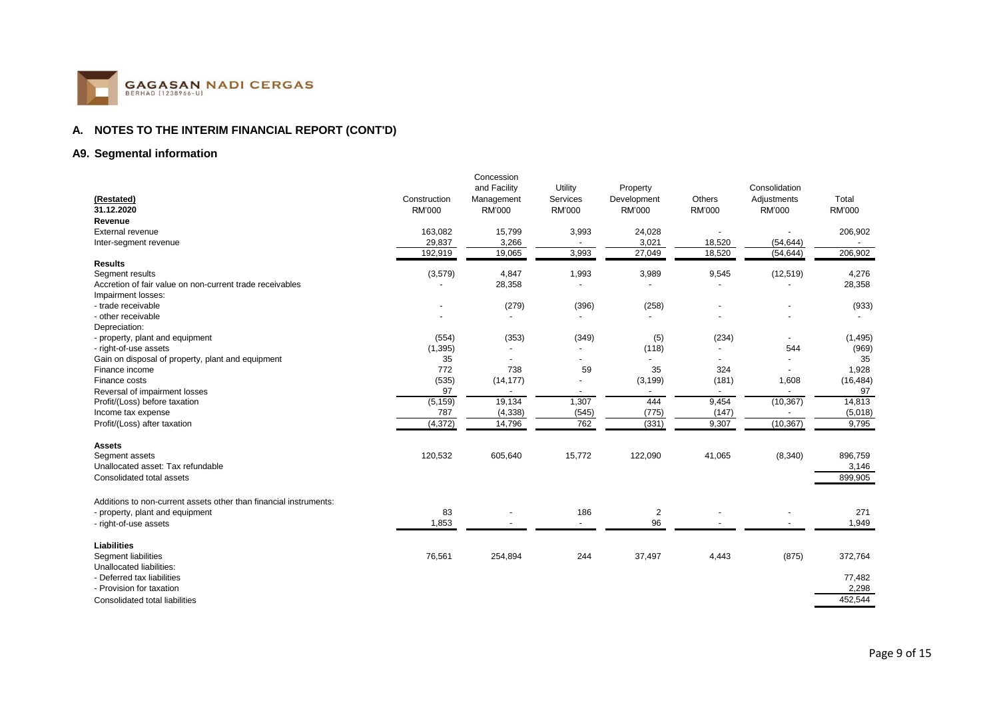

## **A9. Segmental information**

|                                                                   |               | Concession               |                |                         |        |                          |               |
|-------------------------------------------------------------------|---------------|--------------------------|----------------|-------------------------|--------|--------------------------|---------------|
|                                                                   |               | and Facility             | Utility        | Property                |        | Consolidation            |               |
| (Restated)                                                        | Construction  | Management               | Services       | Development             | Others | Adjustments              | Total         |
| 31.12.2020                                                        | <b>RM'000</b> | <b>RM'000</b>            | <b>RM'000</b>  | <b>RM'000</b>           | RM'000 | RM'000                   | <b>RM'000</b> |
| Revenue                                                           |               |                          |                |                         |        |                          |               |
| External revenue                                                  | 163,082       | 15,799                   | 3,993          | 24,028                  |        |                          | 206,902       |
| Inter-segment revenue                                             | 29,837        | 3,266                    |                | 3,021                   | 18,520 | (54, 644)                |               |
|                                                                   | 192,919       | 19,065                   | 3,993          | 27,049                  | 18,520 | (54, 644)                | 206,902       |
| <b>Results</b>                                                    |               |                          |                |                         |        |                          |               |
| Segment results                                                   | (3,579)       | 4,847                    | 1,993          | 3,989                   | 9,545  | (12, 519)                | 4,276         |
| Accretion of fair value on non-current trade receivables          |               | 28,358                   |                |                         |        |                          | 28,358        |
| Impairment losses:                                                |               |                          |                |                         |        |                          |               |
| - trade receivable                                                |               | (279)                    | (396)          | (258)                   |        |                          | (933)         |
| - other receivable                                                |               | $\overline{\phantom{a}}$ |                | $\overline{a}$          |        |                          |               |
| Depreciation:                                                     |               |                          |                |                         |        |                          |               |
| - property, plant and equipment                                   | (554)         | (353)                    | (349)          | (5)                     | (234)  | $\overline{\phantom{a}}$ | (1, 495)      |
| - right-of-use assets                                             | (1, 395)      |                          |                | (118)                   |        | 544                      | (969)         |
| Gain on disposal of property, plant and equipment                 | 35            |                          |                |                         |        |                          | 35            |
| Finance income                                                    | 772           | 738                      | 59             | 35                      | 324    |                          | 1,928         |
| Finance costs                                                     | (535)         | (14, 177)                |                | (3, 199)                | (181)  | 1,608                    | (16, 484)     |
| Reversal of impairment losses                                     | 97            |                          |                |                         |        |                          | 97            |
| Profit/(Loss) before taxation                                     | (5, 159)      | 19,134                   | 1,307          | 444                     | 9,454  | (10, 367)                | 14,813        |
| Income tax expense                                                | 787           | (4, 338)                 | (545)          | (775)                   | (147)  |                          | (5,018)       |
| Profit/(Loss) after taxation                                      | (4, 372)      | 14,796                   | 762            | (331)                   | 9,307  | (10, 367)                | 9,795         |
| <b>Assets</b>                                                     |               |                          |                |                         |        |                          |               |
| Segment assets                                                    | 120,532       | 605,640                  | 15,772         | 122,090                 | 41,065 | (8, 340)                 | 896,759       |
| Unallocated asset: Tax refundable                                 |               |                          |                |                         |        |                          | 3,146         |
| Consolidated total assets                                         |               |                          |                |                         |        |                          | 899,905       |
| Additions to non-current assets other than financial instruments: |               |                          |                |                         |        |                          |               |
| - property, plant and equipment                                   | 83            |                          | 186            | $\overline{\mathbf{c}}$ |        |                          | 271           |
| - right-of-use assets                                             | 1,853         |                          | $\blacksquare$ | 96                      |        |                          | 1,949         |
|                                                                   |               |                          |                |                         |        |                          |               |
| <b>Liabilities</b>                                                |               |                          |                |                         |        |                          |               |
| Segment liabilities                                               | 76,561        | 254,894                  | 244            | 37,497                  | 4,443  | (875)                    | 372,764       |
| Unallocated liabilities:                                          |               |                          |                |                         |        |                          |               |
| - Deferred tax liabilities                                        |               |                          |                |                         |        |                          | 77,482        |
| - Provision for taxation                                          |               |                          |                |                         |        |                          | 2,298         |
| Consolidated total liabilities                                    |               |                          |                |                         |        |                          | 452,544       |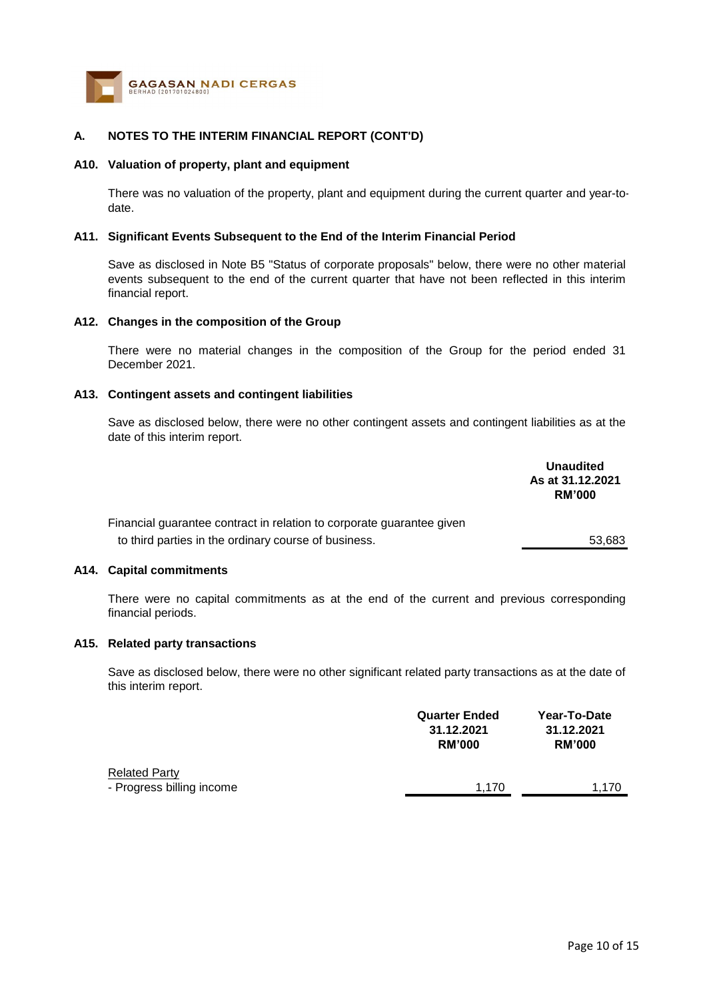

#### **A10. Valuation of property, plant and equipment**

There was no valuation of the property, plant and equipment during the current quarter and year-todate.

#### **A11. Significant Events Subsequent to the End of the Interim Financial Period**

Save as disclosed in Note B5 "Status of corporate proposals" below, there were no other material events subsequent to the end of the current quarter that have not been reflected in this interim financial report.

#### **A12. Changes in the composition of the Group**

There were no material changes in the composition of the Group for the period ended 31 December 2021.

#### **A13. Contingent assets and contingent liabilities**

Save as disclosed below, there were no other contingent assets and contingent liabilities as at the date of this interim report.

|                                                                       | <b>Unaudited</b><br>As at 31.12.2021<br><b>RM'000</b> |
|-----------------------------------------------------------------------|-------------------------------------------------------|
| Financial guarantee contract in relation to corporate guarantee given |                                                       |
| to third parties in the ordinary course of business.                  | 53.683                                                |

#### **A14. Capital commitments**

There were no capital commitments as at the end of the current and previous corresponding financial periods.

## **A15. Related party transactions**

Save as disclosed below, there were no other significant related party transactions as at the date of this interim report.

|                           | <b>Quarter Ended</b><br>31.12.2021<br><b>RM'000</b> | Year-To-Date<br>31.12.2021<br><b>RM'000</b> |
|---------------------------|-----------------------------------------------------|---------------------------------------------|
| <b>Related Party</b>      |                                                     |                                             |
| - Progress billing income | 1.170                                               | 1.170                                       |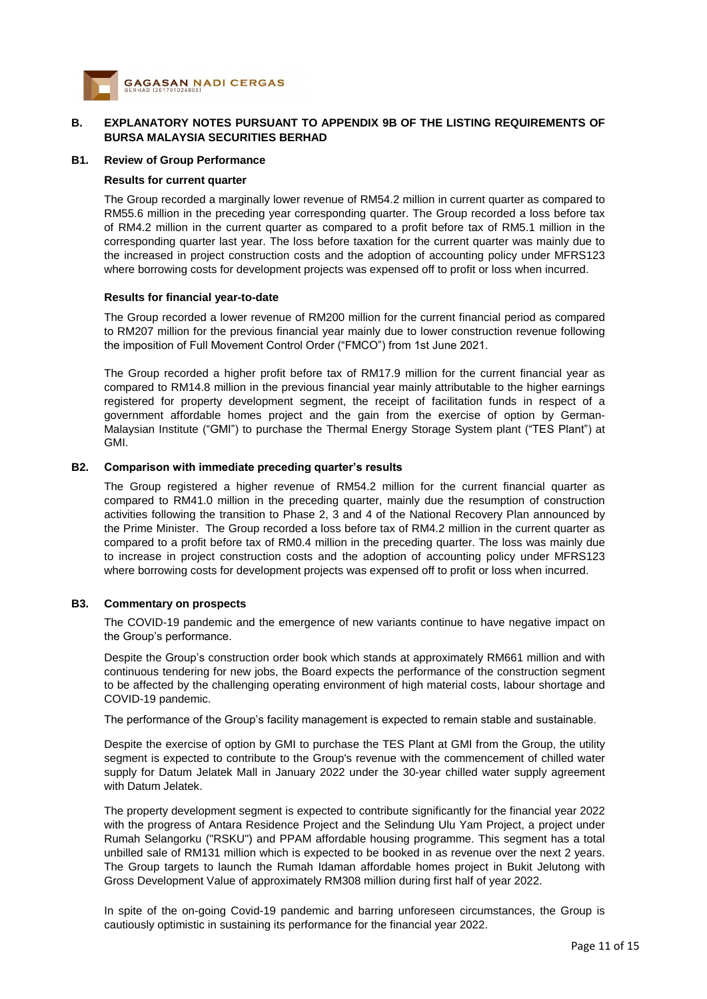

#### **B. EXPLANATORY NOTES PURSUANT TO APPENDIX 9B OF THE LISTING REQUIREMENTS OF BURSA MALAYSIA SECURITIES BERHAD**

#### **B1. Review of Group Performance**

#### **Results for current quarter**

The Group recorded a marginally lower revenue of RM54.2 million in current quarter as compared to RM55.6 million in the preceding year corresponding quarter. The Group recorded a loss before tax of RM4.2 million in the current quarter as compared to a profit before tax of RM5.1 million in the corresponding quarter last year. The loss before taxation for the current quarter was mainly due to the increased in project construction costs and the adoption of accounting policy under MFRS123 where borrowing costs for development projects was expensed off to profit or loss when incurred. 

#### **Results for financial year-to-date**

The Group recorded a lower revenue of RM200 million for the current financial period as compared to RM207 million for the previous financial year mainly due to lower construction revenue following the imposition of Full Movement Control Order ("FMCO") from 1st June 2021.

The Group recorded a higher profit before tax of RM17.9 million for the current financial year as compared to RM14.8 million in the previous financial year mainly attributable to the higher earnings registered for property development segment, the receipt of facilitation funds in respect of a government affordable homes project and the gain from the exercise of option by German-Malaysian Institute ("GMI") to purchase the Thermal Energy Storage System plant ("TES Plant") at GMI.

#### **B2. Comparison with immediate preceding quarter's results**

The Group registered a higher revenue of RM54.2 million for the current financial quarter as compared to RM41.0 million in the preceding quarter, mainly due the resumption of construction activities following the transition to Phase 2, 3 and 4 of the National Recovery Plan announced by the Prime Minister. The Group recorded a loss before tax of RM4.2 million in the current quarter as compared to a profit before tax of RM0.4 million in the preceding quarter. The loss was mainly due to increase in project construction costs and the adoption of accounting policy under MFRS123 where borrowing costs for development projects was expensed off to profit or loss when incurred. 

#### **B3. Commentary on prospects**

The COVID-19 pandemic and the emergence of new variants continue to have negative impact on the Group's performance.

Despite the Group's construction order book which stands at approximately RM661 million and with continuous tendering for new jobs, the Board expects the performance of the construction segment to be affected by the challenging operating environment of high material costs, labour shortage and COVID-19 pandemic. 

The performance of the Group's facility management is expected to remain stable and sustainable.

Despite the exercise of option by GMI to purchase the TES Plant at GMI from the Group, the utility segment is expected to contribute to the Group's revenue with the commencement of chilled water supply for Datum Jelatek Mall in January 2022 under the 30-year chilled water supply agreement with Datum Jelatek.

The property development segment is expected to contribute significantly for the financial year 2022 with the progress of Antara Residence Project and the Selindung Ulu Yam Project, a project under Rumah Selangorku ("RSKU") and PPAM affordable housing programme. This segment has a total unbilled sale of RM131 million which is expected to be booked in as revenue over the next 2 years. The Group targets to launch the Rumah Idaman affordable homes project in Bukit Jelutong with Gross Development Value of approximately RM308 million during first half of year 2022.

In spite of the on-going Covid-19 pandemic and barring unforeseen circumstances, the Group is cautiously optimistic in sustaining its performance for the financial year 2022.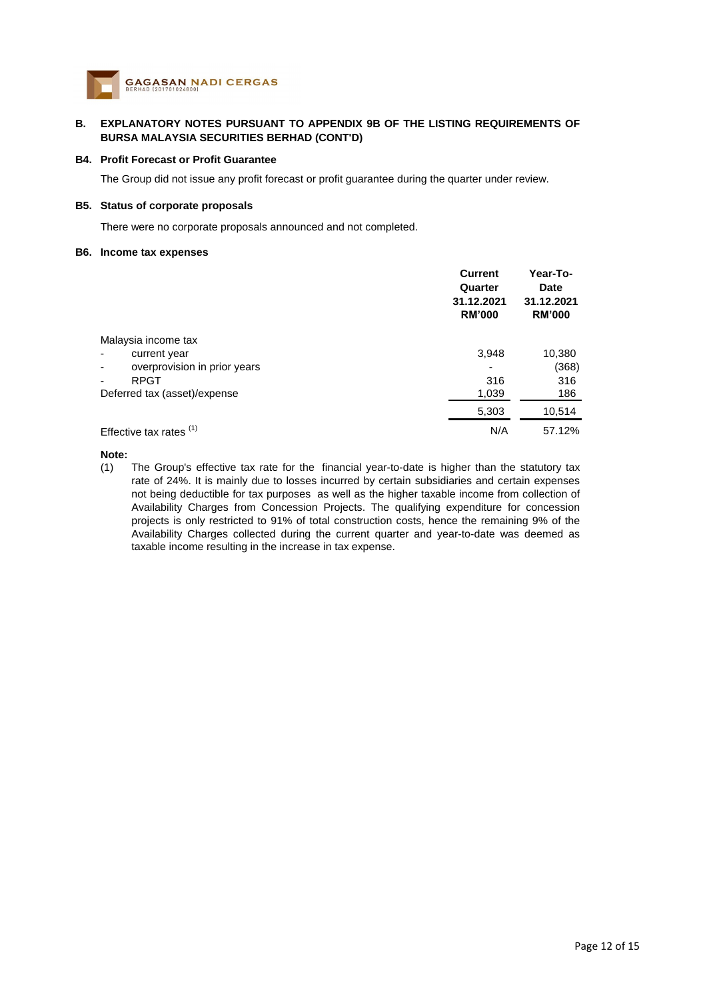

#### **B. EXPLANATORY NOTES PURSUANT TO APPENDIX 9B OF THE LISTING REQUIREMENTS OF BURSA MALAYSIA SECURITIES BERHAD (CONT'D)**

#### **B4. Profit Forecast or Profit Guarantee**

The Group did not issue any profit forecast or profit guarantee during the quarter under review.

#### **B5. Status of corporate proposals**

There were no corporate proposals announced and not completed.

#### **B6. Income tax expenses**

|                              | <b>Current</b><br>Quarter<br>31.12.2021<br><b>RM'000</b> | Year-To-<br>Date<br>31.12.2021<br><b>RM'000</b> |
|------------------------------|----------------------------------------------------------|-------------------------------------------------|
| Malaysia income tax          |                                                          |                                                 |
| current year                 | 3,948                                                    | 10,380                                          |
| overprovision in prior years | ٠                                                        | (368)                                           |
| <b>RPGT</b>                  | 316                                                      | 316                                             |
| Deferred tax (asset)/expense | 1,039                                                    | 186                                             |
|                              | 5,303                                                    | 10,514                                          |
| Effective tax rates $(1)$    | N/A                                                      | 57.12%                                          |

#### **Note:**

(1) The Group's effective tax rate for the financial year-to-date is higher than the statutory tax rate of 24%. It is mainly due to losses incurred by certain subsidiaries and certain expenses not being deductible for tax purposes as well as the higher taxable income from collection of Availability Charges from Concession Projects. The qualifying expenditure for concession projects is only restricted to 91% of total construction costs, hence the remaining 9% of the Availability Charges collected during the current quarter and year-to-date was deemed as taxable income resulting in the increase in tax expense.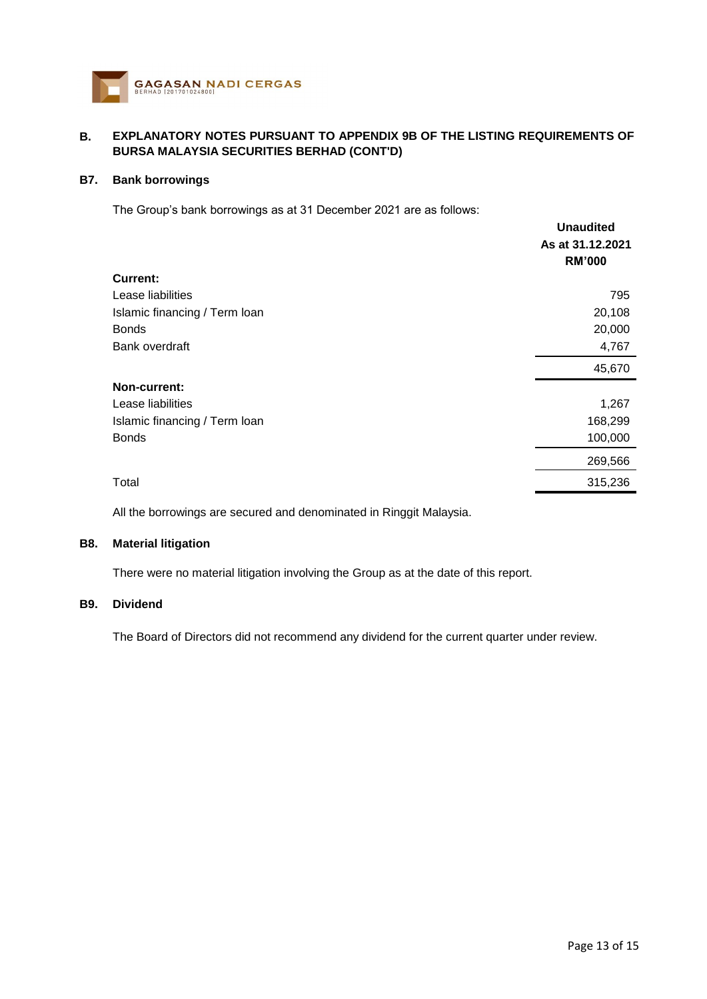

#### **B. EXPLANATORY NOTES PURSUANT TO APPENDIX 9B OF THE LISTING REQUIREMENTS OF BURSA MALAYSIA SECURITIES BERHAD (CONT'D)**

### **B7. Bank borrowings**

The Group's bank borrowings as at 31 December 2021 are as follows:

|                               | <b>Unaudited</b> |
|-------------------------------|------------------|
|                               | As at 31.12.2021 |
|                               | <b>RM'000</b>    |
| <b>Current:</b>               |                  |
| Lease liabilities             | 795              |
| Islamic financing / Term loan | 20,108           |
| <b>Bonds</b>                  | 20,000           |
| Bank overdraft                | 4,767            |
|                               | 45,670           |
| Non-current:                  |                  |
| Lease liabilities             | 1,267            |
| Islamic financing / Term loan | 168,299          |
| <b>Bonds</b>                  | 100,000          |
|                               | 269,566          |
| Total                         | 315,236          |
|                               |                  |

All the borrowings are secured and denominated in Ringgit Malaysia.

### **B8. Material litigation**

There were no material litigation involving the Group as at the date of this report.

## **B9. Dividend**

The Board of Directors did not recommend any dividend for the current quarter under review.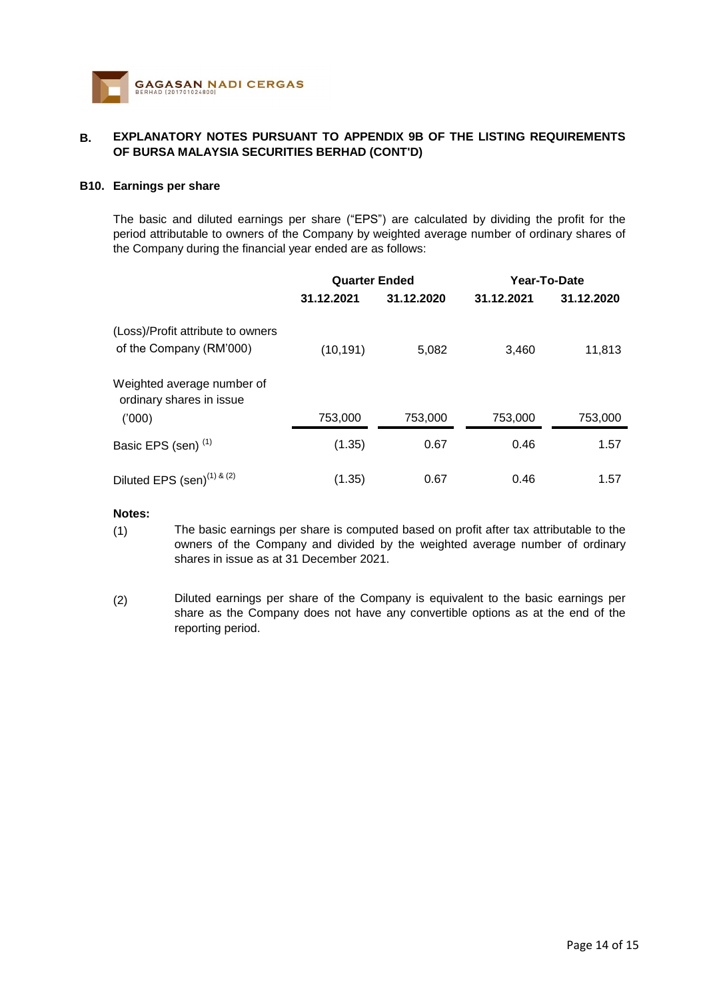

#### **B. EXPLANATORY NOTES PURSUANT TO APPENDIX 9B OF THE LISTING REQUIREMENTS OF BURSA MALAYSIA SECURITIES BERHAD (CONT'D)**

#### **B10. Earnings per share**

The basic and diluted earnings per share ("EPS") are calculated by dividing the profit for the period attributable to owners of the Company by weighted average number of ordinary shares of the Company during the financial year ended are as follows:

|                                                              | <b>Quarter Ended</b> |            | Year-To-Date |            |
|--------------------------------------------------------------|----------------------|------------|--------------|------------|
|                                                              | 31.12.2021           | 31.12.2020 | 31.12.2021   | 31.12.2020 |
| (Loss)/Profit attribute to owners<br>of the Company (RM'000) | (10, 191)            | 5,082      | 3,460        | 11,813     |
| Weighted average number of<br>ordinary shares in issue       |                      |            |              |            |
| (000)                                                        | 753,000              | 753,000    | 753,000      | 753,000    |
| Basic EPS (sen) <sup>(1)</sup>                               | (1.35)               | 0.67       | 0.46         | 1.57       |
| Diluted EPS $(\text{sen})^{(1) \& (2)}$                      | (1.35)               | 0.67       | 0.46         | 1.57       |

## **Notes:**

- (1) The basic earnings per share is computed based on profit after tax attributable to the owners of the Company and divided by the weighted average number of ordinary shares in issue as at 31 December 2021.
- (2) Diluted earnings per share of the Company is equivalent to the basic earnings per share as the Company does not have any convertible options as at the end of the reporting period.